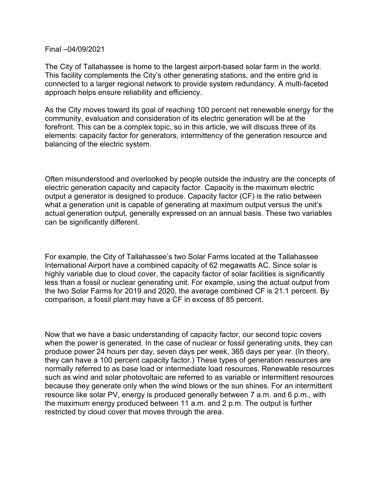## Final –04/09/2021

The City of Tallahassee is home to the largest airport-based solar farm in the world. This facility complements the City's other generating stations, and the entire grid is connected to a larger regional network to provide system redundancy. A multi-faceted approach helps ensure reliability and efficiency.

As the City moves toward its goal of reaching 100 percent net renewable energy for the community, evaluation and consideration of its electric generation will be at the forefront. This can be a complex topic, so in this article, we will discuss three of its elements: capacity factor for generators, intermittency of the generation resource and balancing of the electric system.

Often misunderstood and overlooked by people outside the industry are the concepts of electric generation capacity and capacity factor. Capacity is the maximum electric output a generator is designed to produce. Capacity factor (CF) is the ratio between what a generation unit is capable of generating at maximum output versus the unit's actual generation output, generally expressed on an annual basis. These two variables can be significantly different.

For example, the City of Tallahassee's two Solar Farms located at the Tallahassee International Airport have a combined capacity of 62 megawatts AC. Since solar is highly variable due to cloud cover, the capacity factor of solar facilities is significantly less than a fossil or nuclear generating unit. For example, using the actual output from the two Solar Farms for 2019 and 2020, the average combined CF is 21.1 percent. By comparison, a fossil plant may have a CF in excess of 85 percent.

Now that we have a basic understanding of capacity factor, our second topic covers when the power is generated. In the case of nuclear or fossil generating units, they can produce power 24 hours per day, seven days per week, 365 days per year. (In theory, they can have a 100 percent capacity factor.) These types of generation resources are normally referred to as base load or intermediate load resources. Renewable resources such as wind and solar photovoltaic are referred to as variable or intermittent resources because they generate only when the wind blows or the sun shines. For an intermittent resource like solar PV, energy is produced generally between 7 a.m. and 6 p.m., with the maximum energy produced between 11 a.m. and 2 p.m. The output is further restricted by cloud cover that moves through the area.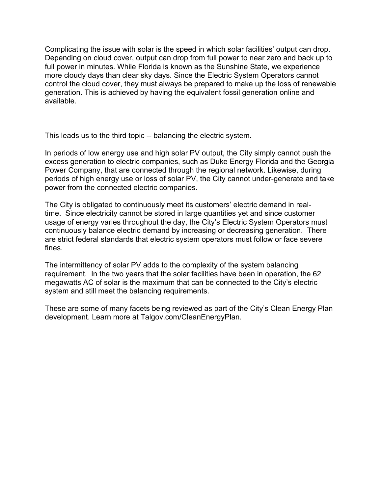Complicating the issue with solar is the speed in which solar facilities' output can drop. Depending on cloud cover, output can drop from full power to near zero and back up to full power in minutes. While Florida is known as the Sunshine State, we experience more cloudy days than clear sky days. Since the Electric System Operators cannot control the cloud cover, they must always be prepared to make up the loss of renewable generation. This is achieved by having the equivalent fossil generation online and available.

This leads us to the third topic -- balancing the electric system.

In periods of low energy use and high solar PV output, the City simply cannot push the excess generation to electric companies, such as Duke Energy Florida and the Georgia Power Company, that are connected through the regional network. Likewise, during periods of high energy use or loss of solar PV, the City cannot under-generate and take power from the connected electric companies.

The City is obligated to continuously meet its customers' electric demand in realtime. Since electricity cannot be stored in large quantities yet and since customer usage of energy varies throughout the day, the City's Electric System Operators must continuously balance electric demand by increasing or decreasing generation. There are strict federal standards that electric system operators must follow or face severe fines.

The intermittency of solar PV adds to the complexity of the system balancing requirement. In the two years that the solar facilities have been in operation, the 62 megawatts AC of solar is the maximum that can be connected to the City's electric system and still meet the balancing requirements.

These are some of many facets being reviewed as part of the City's Clean Energy Plan development. Learn more at Talgov.com/CleanEnergyPlan.